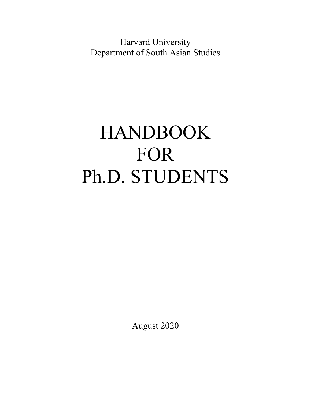Harvard University Department of South Asian Studies

# HANDBOOK FOR Ph.D. STUDENTS

August 2020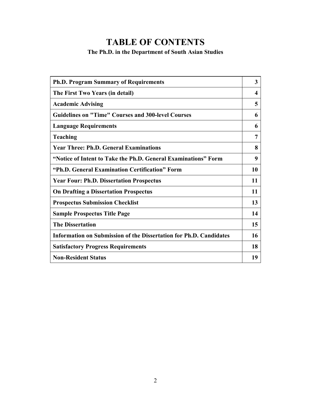## **TABLE OF CONTENTS**

## **The Ph.D. in the Department of South Asian Studies**

| <b>Ph.D. Program Summary of Requirements</b>                       | 3  |
|--------------------------------------------------------------------|----|
| The First Two Years (in detail)                                    | 4  |
| <b>Academic Advising</b>                                           | 5  |
| <b>Guidelines on "Time" Courses and 300-level Courses</b>          | 6  |
| <b>Language Requirements</b>                                       | 6  |
| <b>Teaching</b>                                                    | 7  |
| <b>Year Three: Ph.D. General Examinations</b>                      | 8  |
| "Notice of Intent to Take the Ph.D. General Examinations" Form     | 9  |
| "Ph.D. General Examination Certification" Form                     | 10 |
| <b>Year Four: Ph.D. Dissertation Prospectus</b>                    | 11 |
| <b>On Drafting a Dissertation Prospectus</b>                       | 11 |
| <b>Prospectus Submission Checklist</b>                             | 13 |
| <b>Sample Prospectus Title Page</b>                                | 14 |
| <b>The Dissertation</b>                                            | 15 |
| Information on Submission of the Dissertation for Ph.D. Candidates | 16 |
| <b>Satisfactory Progress Requirements</b>                          | 18 |
| <b>Non-Resident Status</b>                                         | 19 |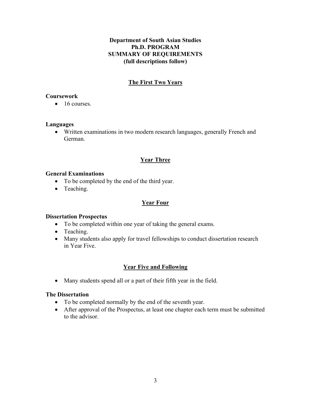## **Department of South Asian Studies Ph.D. PROGRAM SUMMARY OF REQUIREMENTS (full descriptions follow)**

## **The First Two Years**

## **Coursework**

 $\bullet$  16 courses.

## **Languages**

 Written examinations in two modern research languages, generally French and German.

## **Year Three**

## **General Examinations**

- To be completed by the end of the third year.
- Teaching.

## **Year Four**

## **Dissertation Prospectus**

- To be completed within one year of taking the general exams.
- Teaching.
- Many students also apply for travel fellowships to conduct dissertation research in Year Five.

## **Year Five and Following**

Many students spend all or a part of their fifth year in the field.

## **The Dissertation**

- To be completed normally by the end of the seventh year.
- After approval of the Prospectus, at least one chapter each term must be submitted to the advisor.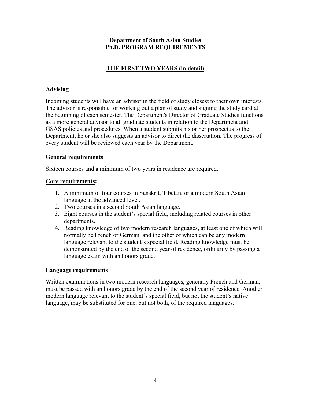## **THE FIRST TWO YEARS (in detail)**

## **Advising**

Incoming students will have an advisor in the field of study closest to their own interests. The advisor is responsible for working out a plan of study and signing the study card at the beginning of each semester. The Department's Director of Graduate Studies functions as a more general advisor to all graduate students in relation to the Department and GSAS policies and procedures. When a student submits his or her prospectus to the Department, he or she also suggests an advisor to direct the dissertation. The progress of every student will be reviewed each year by the Department.

## **General requirements**

Sixteen courses and a minimum of two years in residence are required.

## **Core requirements:**

- 1. A minimum of four courses in Sanskrit, Tibetan, or a modern South Asian language at the advanced level.
- 2. Two courses in a second South Asian language.
- 3. Eight courses in the student's special field, including related courses in other departments.
- 4. Reading knowledge of two modern research languages, at least one of which will normally be French or German, and the other of which can be any modern language relevant to the student's special field. Reading knowledge must be demonstrated by the end of the second year of residence, ordinarily by passing a language exam with an honors grade.

### **Language requirements**

Written examinations in two modern research languages, generally French and German, must be passed with an honors grade by the end of the second year of residence. Another modern language relevant to the student's special field, but not the student's native language, may be substituted for one, but not both, of the required languages.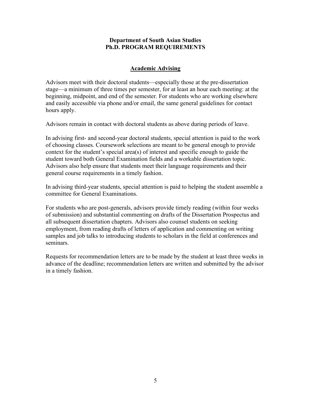## **Academic Advising**

Advisors meet with their doctoral students—especially those at the pre-dissertation stage—a minimum of three times per semester, for at least an hour each meeting: at the beginning, midpoint, and end of the semester. For students who are working elsewhere and easily accessible via phone and/or email, the same general guidelines for contact hours apply.

Advisors remain in contact with doctoral students as above during periods of leave.

In advising first- and second-year doctoral students, special attention is paid to the work of choosing classes. Coursework selections are meant to be general enough to provide context for the student's special area(s) of interest and specific enough to guide the student toward both General Examination fields and a workable dissertation topic. Advisors also help ensure that students meet their language requirements and their general course requirements in a timely fashion.

In advising third-year students, special attention is paid to helping the student assemble a committee for General Examinations.

For students who are post-generals, advisors provide timely reading (within four weeks of submission) and substantial commenting on drafts of the Dissertation Prospectus and all subsequent dissertation chapters. Advisors also counsel students on seeking employment, from reading drafts of letters of application and commenting on writing samples and job talks to introducing students to scholars in the field at conferences and seminars.

Requests for recommendation letters are to be made by the student at least three weeks in advance of the deadline; recommendation letters are written and submitted by the advisor in a timely fashion.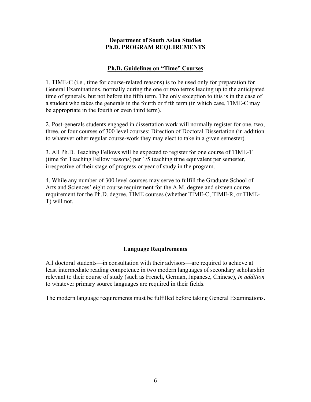## **Ph.D. Guidelines on "Time" Courses**

1. TIME-C (i.e., time for course-related reasons) is to be used only for preparation for General Examinations, normally during the one or two terms leading up to the anticipated time of generals, but not before the fifth term. The only exception to this is in the case of a student who takes the generals in the fourth or fifth term (in which case, TIME-C may be appropriate in the fourth or even third term).

2. Post-generals students engaged in dissertation work will normally register for one, two, three, or four courses of 300 level courses: Direction of Doctoral Dissertation (in addition to whatever other regular course-work they may elect to take in a given semester).

3. All Ph.D. Teaching Fellows will be expected to register for one course of TIME-T (time for Teaching Fellow reasons) per 1/5 teaching time equivalent per semester, irrespective of their stage of progress or year of study in the program.

4. While any number of 300 level courses may serve to fulfill the Graduate School of Arts and Sciences' eight course requirement for the A.M. degree and sixteen course requirement for the Ph.D. degree, TIME courses (whether TIME-C, TIME-R, or TIME-T) will not.

## **Language Requirements**

All doctoral students—in consultation with their advisors—are required to achieve at least intermediate reading competence in two modern languages of secondary scholarship relevant to their course of study (such as French, German, Japanese, Chinese), *in addition*  to whatever primary source languages are required in their fields.

The modern language requirements must be fulfilled before taking General Examinations.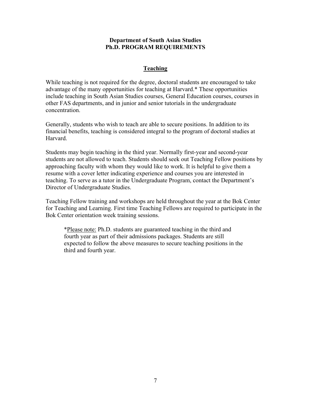## **Teaching**

While teaching is not required for the degree, doctoral students are encouraged to take advantage of the many opportunities for teaching at Harvard.\* These opportunities include teaching in South Asian Studies courses, General Education courses, courses in other FAS departments, and in junior and senior tutorials in the undergraduate concentration.

Generally, students who wish to teach are able to secure positions. In addition to its financial benefits, teaching is considered integral to the program of doctoral studies at Harvard.

Students may begin teaching in the third year. Normally first-year and second-year students are not allowed to teach. Students should seek out Teaching Fellow positions by approaching faculty with whom they would like to work. It is helpful to give them a resume with a cover letter indicating experience and courses you are interested in teaching. To serve as a tutor in the Undergraduate Program, contact the Department's Director of Undergraduate Studies.

Teaching Fellow training and workshops are held throughout the year at the Bok Center for Teaching and Learning. First time Teaching Fellows are required to participate in the Bok Center orientation week training sessions.

\*Please note: Ph.D. students are guaranteed teaching in the third and fourth year as part of their admissions packages. Students are still expected to follow the above measures to secure teaching positions in the third and fourth year.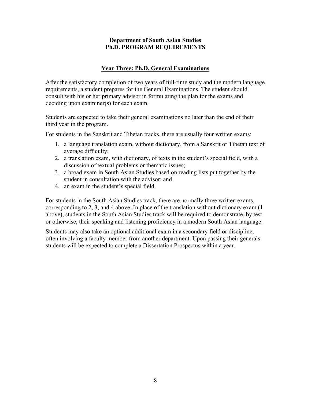## **Year Three: Ph.D. General Examinations**

After the satisfactory completion of two years of full-time study and the modern language requirements, a student prepares for the General Examinations. The student should consult with his or her primary advisor in formulating the plan for the exams and deciding upon examiner(s) for each exam.

Students are expected to take their general examinations no later than the end of their third year in the program.

For students in the Sanskrit and Tibetan tracks, there are usually four written exams:

- 1. a language translation exam, without dictionary, from a Sanskrit or Tibetan text of average difficulty;
- 2. a translation exam, with dictionary, of texts in the student's special field, with a discussion of textual problems or thematic issues;
- 3. a broad exam in South Asian Studies based on reading lists put together by the student in consultation with the advisor; and
- 4. an exam in the student's special field.

For students in the South Asian Studies track, there are normally three written exams, corresponding to 2, 3, and 4 above. In place of the translation without dictionary exam (1 above), students in the South Asian Studies track will be required to demonstrate, by test or otherwise, their speaking and listening proficiency in a modern South Asian language.

Students may also take an optional additional exam in a secondary field or discipline, often involving a faculty member from another department. Upon passing their generals students will be expected to complete a Dissertation Prospectus within a year.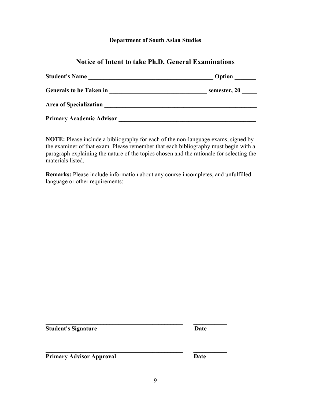## **Department of South Asian Studies**

## **Notice of Intent to take Ph.D. General Examinations**

| <b>Student's Name</b>           | Option       |
|---------------------------------|--------------|
| <b>Generals to be Taken in</b>  | semester, 20 |
| <b>Area of Specialization</b>   |              |
| <b>Primary Academic Advisor</b> |              |

**NOTE:** Please include a bibliography for each of the non-language exams, signed by the examiner of that exam. Please remember that each bibliography must begin with a paragraph explaining the nature of the topics chosen and the rationale for selecting the materials listed.

**Remarks:** Please include information about any course incompletes, and unfulfilled language or other requirements:

**Student's Signature Date** 

**Primary Advisor Approval Date** 

**\_\_\_\_\_\_\_\_\_\_\_\_\_\_\_\_\_\_\_\_\_\_\_\_\_\_\_\_\_\_\_\_\_\_\_\_\_\_\_\_\_\_\_\_\_ \_\_\_\_\_\_\_\_\_\_\_** 

**\_\_\_\_\_\_\_\_\_\_\_\_\_\_\_\_\_\_\_\_\_\_\_\_\_\_\_\_\_\_\_\_\_\_\_\_\_\_\_\_\_\_\_\_\_ \_\_\_\_\_\_\_\_\_\_\_**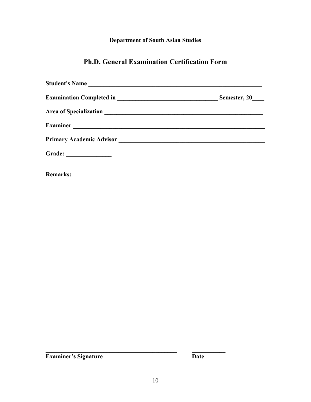## **Department of South Asian Studies**

## **Ph.D. General Examination Certification Form**

|                       | Semester, 20 |
|-----------------------|--------------|
|                       |              |
|                       |              |
|                       |              |
| Grade: ______________ |              |

**Remarks:** 

**Examiner's Signature Date** 

**\_\_\_\_\_\_\_\_\_\_\_\_\_\_\_\_\_\_\_\_\_\_\_\_\_\_\_\_\_\_\_\_\_\_\_\_\_\_\_\_\_\_\_ \_\_\_\_\_\_\_\_\_\_\_**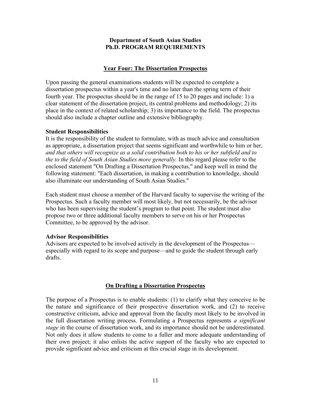## **Year Four: The Dissertation Prospectus**

Upon passing the general examinations students will be expected to complete a dissertation prospectus within a year's time and no later than the spring term of their fourth year. The prospectus should be in the range of 15 to 20 pages and include: 1) a clear statement of the dissertation project, its central problems and methodology; 2) its place in the context of related scholarship; 3) its importance to the field. The prospectus should also include a chapter outline and extensive bibliography.

#### **Student Responsibilities**

It is the responsibility of the student to formulate, with as much advice and consultation as appropriate, a dissertation project that seems significant and worthwhile to him or her, *and that others will recognize as a solid contribution both to his or her subfield and to the to the field of South Asian Studies more generally.* In this regard please refer to the enclosed statement "On Drafting a Dissertation Prospectus," and keep well in mind the following statement: "Each dissertation, in making a contribution to knowledge, should also illuminate our understanding of South Asian Studies."

Each student must choose a member of the Harvard faculty to supervise the writing of the Prospectus. Such a faculty member will most likely, but not necessarily, be the advisor who has been supervising the student's program to that point. The student must also propose two or three additional faculty members to serve on his or her Prospectus Committee, to be approved by the advisor.

#### **Advisor Responsibilities**

Advisors are expected to be involved actively in the development of the Prospectus especially with regard to its scope and purpose—and to guide the student through early drafts.

### **On Drafting a Dissertation Prospectus**

The purpose of a Prospectus is to enable students: (1) to clarify what they conceive to be the nature and significance of their prospective dissertation work, and (2) to receive constructive criticism, advice and approval from the faculty most likely to be involved in the full dissertation writing process. Formulating a Prospectus represents *a significant stage* in the course of dissertation work, and its importance should not be underestimated. Not only does it allow students to come to a fuller and more adequate understanding of their own project; it also enlists the active support of the faculty who are expected to provide significant advice and criticism at this crucial stage in its development.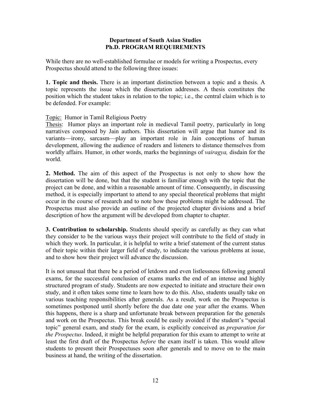While there are no well-established formulae or models for writing a Prospectus, every Prospectus should attend to the following three issues:

**1. Topic and thesis.** There is an important distinction between a topic and a thesis. A topic represents the issue which the dissertation addresses. A thesis constitutes the position which the student takes in relation to the topic; i.e., the central claim which is to be defended. For example:

Topic: Humor in Tamil Religious Poetry

Thesis: Humor plays an important role in medieval Tamil poetry, particularly in long narratives composed by Jain authors. This dissertation will argue that humor and its variants—irony, sarcasm—play an important role in Jain conceptions of human development, allowing the audience of readers and listeners to distance themselves from worldly affairs. Humor, in other words, marks the beginnings of *vairagya,* disdain for the world.

**2. Method.** The aim of this aspect of the Prospectus is not only to show how the dissertation will be done, but that the student is familiar enough with the topic that the project can be done, and within a reasonable amount of time. Consequently, in discussing method, it is especially important to attend to any special theoretical problems that might occur in the course of research and to note how these problems might be addressed. The Prospectus must also provide an outline of the projected chapter divisions and a brief description of how the argument will be developed from chapter to chapter.

**3. Contribution to scholarship.** Students should specify as carefully as they can what they consider to be the various ways their project will contribute to the field of study in which they work. In particular, it is helpful to write a brief statement of the current status of their topic within their larger field of study, to indicate the various problems at issue, and to show how their project will advance the discussion.

It is not unusual that there be a period of letdown and even listlessness following general exams, for the successful conclusion of exams marks the end of an intense and highly structured program of study. Students are now expected to initiate and structure their own study, and it often takes some time to learn how to do this. Also, students usually take on various teaching responsibilities after generals. As a result, work on the Prospectus is sometimes postponed until shortly before the due date one year after the exams. When this happens, there is a sharp and unfortunate break between preparation for the generals and work on the Prospectus. This break could be easily avoided if the student's "special topic" general exam, and study for the exam, is explicitly conceived as *preparation for the Prospectus*. Indeed, it might be helpful preparation for this exam to attempt to write at least the first draft of the Prospectus *before* the exam itself is taken. This would allow students to present their Prospectuses soon after generals and to move on to the main business at hand, the writing of the dissertation.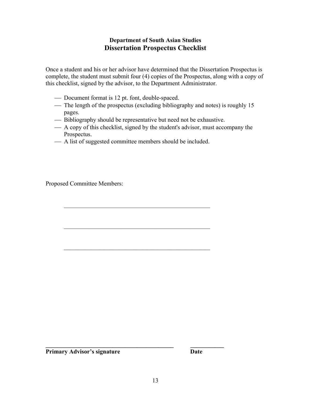## **Department of South Asian Studies Dissertation Prospectus Checklist**

Once a student and his or her advisor have determined that the Dissertation Prospectus is complete, the student must submit four (4) copies of the Prospectus, along with a copy of this checklist, signed by the advisor, to the Department Administrator.

- Document format is 12 pt. font, double-spaced.
- The length of the prospectus (excluding bibliography and notes) is roughly 15 pages.
- Bibliography should be representative but need not be exhaustive.
- A copy of this checklist, signed by the student's advisor, must accompany the Prospectus.
- A list of suggested committee members should be included.

Proposed Committee Members:

**Primary Advisor's signature Date** 

**\_\_\_\_\_\_\_\_\_\_\_\_\_\_\_\_\_\_\_\_\_\_\_\_\_\_\_\_\_\_\_\_\_\_\_\_\_\_\_\_\_\_ \_\_\_\_\_\_\_\_\_\_\_**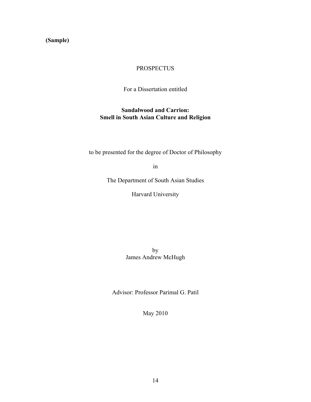## **(Sample)**

## PROSPECTUS

For a Dissertation entitled

## **Sandalwood and Carrion: Smell in South Asian Culture and Religion**

to be presented for the degree of Doctor of Philosophy

in

The Department of South Asian Studies

Harvard University

by James Andrew McHugh

Advisor: Professor Parimal G. Patil

May 2010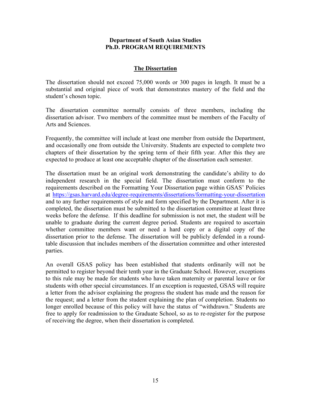#### **The Dissertation**

The dissertation should not exceed 75,000 words or 300 pages in length. It must be a substantial and original piece of work that demonstrates mastery of the field and the student's chosen topic.

The dissertation committee normally consists of three members, including the dissertation advisor. Two members of the committee must be members of the Faculty of Arts and Sciences.

Frequently, the committee will include at least one member from outside the Department, and occasionally one from outside the University. Students are expected to complete two chapters of their dissertation by the spring term of their fifth year. After this they are expected to produce at least one acceptable chapter of the dissertation each semester.

The dissertation must be an original work demonstrating the candidate's ability to do independent research in the special field. The dissertation must conform to the requirements described on the Formatting Your Dissertation page within GSAS' Policies at https://gsas.harvard.edu/degree-requirements/dissertations/formatting-your-dissertation and to any further requirements of style and form specified by the Department. After it is completed, the dissertation must be submitted to the dissertation committee at least three weeks before the defense. If this deadline for submission is not met, the student will be unable to graduate during the current degree period. Students are required to ascertain whether committee members want or need a hard copy or a digital copy of the dissertation prior to the defense. The dissertation will be publicly defended in a roundtable discussion that includes members of the dissertation committee and other interested parties.

An overall GSAS policy has been established that students ordinarily will not be permitted to register beyond their tenth year in the Graduate School. However, exceptions to this rule may be made for students who have taken maternity or parental leave or for students with other special circumstances. If an exception is requested, GSAS will require a letter from the advisor explaining the progress the student has made and the reason for the request; and a letter from the student explaining the plan of completion. Students no longer enrolled because of this policy will have the status of "withdrawn." Students are free to apply for readmission to the Graduate School, so as to re-register for the purpose of receiving the degree, when their dissertation is completed.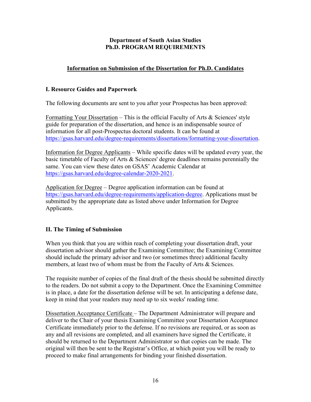## **Information on Submission of the Dissertation for Ph.D. Candidates**

## **I. Resource Guides and Paperwork**

The following documents are sent to you after your Prospectus has been approved:

Formatting Your Dissertation – This is the official Faculty of Arts  $\&$  Sciences' style guide for preparation of the dissertation, and hence is an indispensable source of information for all post-Prospectus doctoral students. It can be found at https://gsas.harvard.edu/degree-requirements/dissertations/formatting-your-dissertation.

Information for Degree Applicants – While specific dates will be updated every year, the basic timetable of Faculty of Arts & Sciences' degree deadlines remains perennially the same. You can view these dates on GSAS' Academic Calendar at https://gsas.harvard.edu/degree-calendar-2020-2021.

Application for Degree – Degree application information can be found at https://gsas.harvard.edu/degree-requirements/application-degree. Applications must be submitted by the appropriate date as listed above under Information for Degree Applicants.

## **II. The Timing of Submission**

When you think that you are within reach of completing your dissertation draft, your dissertation advisor should gather the Examining Committee; the Examining Committee should include the primary advisor and two (or sometimes three) additional faculty members, at least two of whom must be from the Faculty of Arts & Sciences.

The requisite number of copies of the final draft of the thesis should be submitted directly to the readers. Do not submit a copy to the Department. Once the Examining Committee is in place, a date for the dissertation defense will be set. In anticipating a defense date, keep in mind that your readers may need up to six weeks' reading time.

Dissertation Acceptance Certificate – The Department Administrator will prepare and deliver to the Chair of your thesis Examining Committee your Dissertation Acceptance Certificate immediately prior to the defense. If no revisions are required, or as soon as any and all revisions are completed, and all examiners have signed the Certificate, it should be returned to the Department Administrator so that copies can be made. The original will then be sent to the Registrar's Office, at which point you will be ready to proceed to make final arrangements for binding your finished dissertation.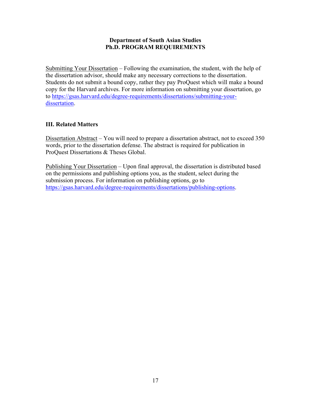Submitting Your Dissertation – Following the examination, the student, with the help of the dissertation advisor, should make any necessary corrections to the dissertation. Students do not submit a bound copy, rather they pay ProQuest which will make a bound copy for the Harvard archives. For more information on submitting your dissertation, go to https://gsas.harvard.edu/degree-requirements/dissertations/submitting-yourdissertation.

## **III. Related Matters**

Dissertation Abstract – You will need to prepare a dissertation abstract, not to exceed 350 words, prior to the dissertation defense. The abstract is required for publication in ProQuest Dissertations & Theses Global.

Publishing Your Dissertation – Upon final approval, the dissertation is distributed based on the permissions and publishing options you, as the student, select during the submission process. For information on publishing options, go to https://gsas.harvard.edu/degree-requirements/dissertations/publishing-options.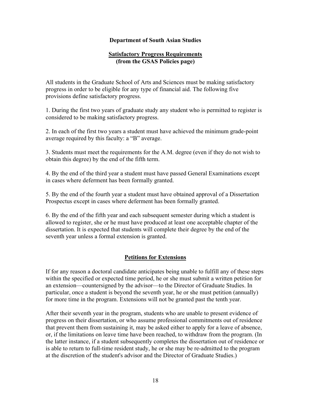### **Department of South Asian Studies**

### **Satisfactory Progress Requirements (from the GSAS Policies page)**

All students in the Graduate School of Arts and Sciences must be making satisfactory progress in order to be eligible for any type of financial aid. The following five provisions define satisfactory progress.

1. During the first two years of graduate study any student who is permitted to register is considered to be making satisfactory progress.

2. In each of the first two years a student must have achieved the minimum grade-point average required by this faculty: a "B" average.

3. Students must meet the requirements for the A.M. degree (even if they do not wish to obtain this degree) by the end of the fifth term.

4. By the end of the third year a student must have passed General Examinations except in cases where deferment has been formally granted.

5. By the end of the fourth year a student must have obtained approval of a Dissertation Prospectus except in cases where deferment has been formally granted.

6. By the end of the fifth year and each subsequent semester during which a student is allowed to register, she or he must have produced at least one acceptable chapter of the dissertation. It is expected that students will complete their degree by the end of the seventh year unless a formal extension is granted.

## **Petitions for Extensions**

If for any reason a doctoral candidate anticipates being unable to fulfill any of these steps within the specified or expected time period, he or she must submit a written petition for an extension—countersigned by the advisor—to the Director of Graduate Studies. In particular, once a student is beyond the seventh year, he or she must petition (annually) for more time in the program. Extensions will not be granted past the tenth year.

After their seventh year in the program, students who are unable to present evidence of progress on their dissertation, or who assume professional commitments out of residence that prevent them from sustaining it, may be asked either to apply for a leave of absence, or, if the limitations on leave time have been reached, to withdraw from the program. (In the latter instance, if a student subsequently completes the dissertation out of residence or is able to return to full-time resident study, he or she may be re-admitted to the program at the discretion of the student's advisor and the Director of Graduate Studies.)